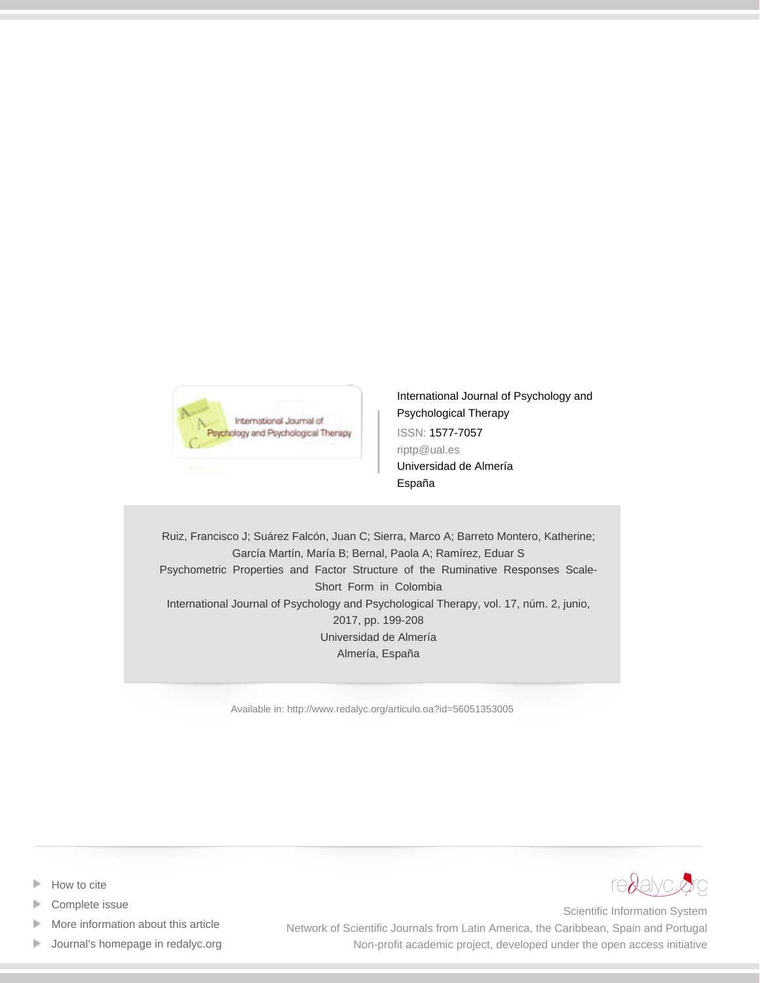

[International Journal of Psychology and](http://www.redalyc.org/revista.oa?id=560) [Psychological Therapy](http://www.redalyc.org/revista.oa?id=560) ISSN: 1577-7057 riptp@ual.es Universidad de Almería España

Ruiz, Francisco J; Suárez Falcón, Juan C; Sierra, Marco A; Barreto Montero, Katherine; García Martín, María B; Bernal, Paola A; Ramírez, Eduar S Psychometric Properties and Factor Structure of the Ruminative Responses Scale-Short Form in Colombia International Journal of Psychology and Psychological Therapy, vol. 17, núm. 2, junio, 2017, pp. 199-208 Universidad de Almería Almería, España

[Available in: http://www.redalyc.org/articulo.oa?id=56051353005](http://www.redalyc.org/articulo.oa?id=56051353005)



- [How to cite](http://www.redalyc.org/comocitar.oa?id=56051353005)
- [Complete issue](http://www.redalyc.org/fasciculo.oa?id=560&numero=51353)
- [More information about this article](http://www.redalyc.org/articulo.oa?id=56051353005) Þ
- [Journal's homepage in redalyc.org](http://www.redalyc.org/revista.oa?id=560)  $\mathbb P$

Scientific Information System Network of Scientific Journals from Latin America, the Caribbean, Spain and Portugal Non-profit academic project, developed under the open access initiative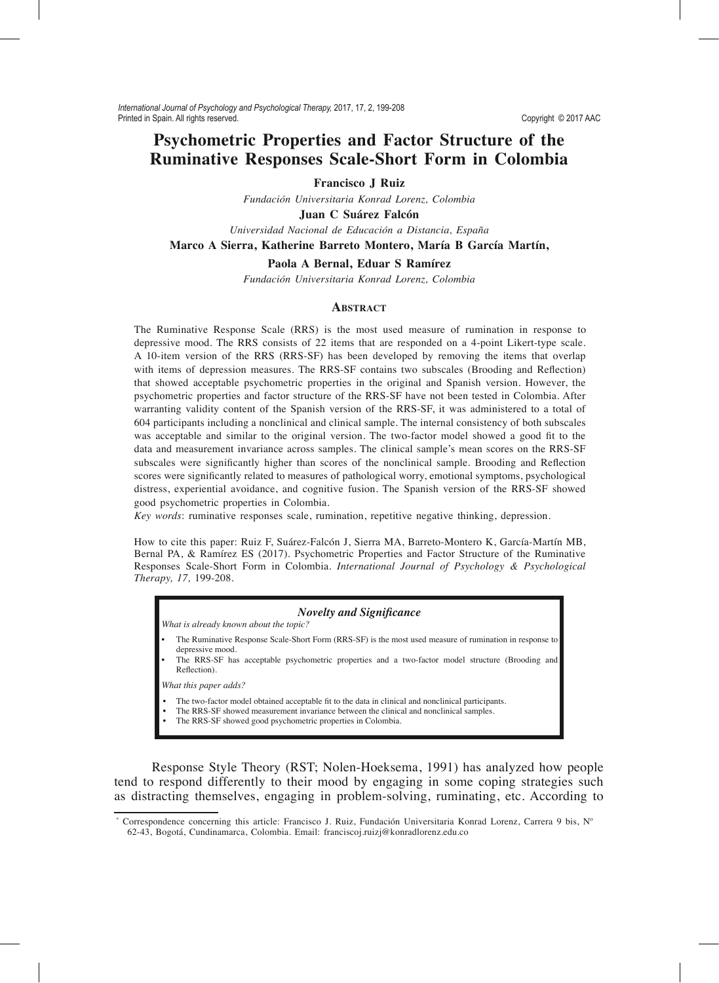# **Psychometric Properties and Factor Structure of the Ruminative Responses Scale-Short Form in Colombia**

**Francisco J Ruiz**

*Fundación Universitaria Konrad Lorenz, Colombia*

**Juan C Suárez Falcón**

*Universidad Nacional de Educación a Distancia, España*

## **Marco A Sierra, Katherine Barreto Montero, María B García Martín,**

#### **Paola A Bernal, Eduar S Ramírez**

*Fundación Universitaria Konrad Lorenz, Colombia*

## **ABSTRACT**

The Ruminative Response Scale (RRS) is the most used measure of rumination in response to depressive mood. The RRS consists of 22 items that are responded on a 4-point Likert-type scale. A 10-item version of the RRS (RRS-SF) has been developed by removing the items that overlap with items of depression measures. The RRS-SF contains two subscales (Brooding and Reflection) that showed acceptable psychometric properties in the original and Spanish version. However, the psychometric properties and factor structure of the RRS-SF have not been tested in Colombia. After warranting validity content of the Spanish version of the RRS-SF, it was administered to a total of 604 participants including a nonclinical and clinical sample. The internal consistency of both subscales was acceptable and similar to the original version. The two-factor model showed a good fit to the data and measurement invariance across samples. The clinical sample's mean scores on the RRS-SF subscales were significantly higher than scores of the nonclinical sample. Brooding and Reflection scores were significantly related to measures of pathological worry, emotional symptoms, psychological distress, experiential avoidance, and cognitive fusion. The Spanish version of the RRS-SF showed good psychometric properties in Colombia.

*Key words*: ruminative responses scale, rumination, repetitive negative thinking, depression.

How to cite this paper: Ruiz F, Suárez-Falcón J, Sierra MA, Barreto-Montero K, García-Martín MB, Bernal PA, & Ramírez ES (2017). Psychometric Properties and Factor Structure of the Ruminative Responses Scale-Short Form in Colombia. *International Journal of Psychology & Psychological Therapy, 17,* 199-208.

#### *Novelty and SigniÀcance*

*What is already known about the topic?*

- The Ruminative Response Scale-Short Form (RRS-SF) is the most used measure of rumination in response to depressive mood.
- The RRS-SF has acceptable psychometric properties and a two-factor model structure (Brooding and Reflection).

*What this paper adds?*

- The two-factor model obtained acceptable fit to the data in clinical and nonclinical participants.
- The RRS-SF showed measurement invariance between the clinical and nonclinical samples.
- The RRS-SF showed good psychometric properties in Colombia.

Response Style Theory (RST; Nolen-Hoeksema, 1991) has analyzed how people tend to respond differently to their mood by engaging in some coping strategies such as distracting themselves, engaging in problem-solving, ruminating, etc. According to

<sup>\*</sup> Correspondence concerning this article: Francisco J. Ruiz, Fundación Universitaria Konrad Lorenz, Carrera 9 bis, Nº 62-43, Bogotá, Cundinamarca, Colombia. Email: franciscoj.ruizj@konradlorenz.edu.co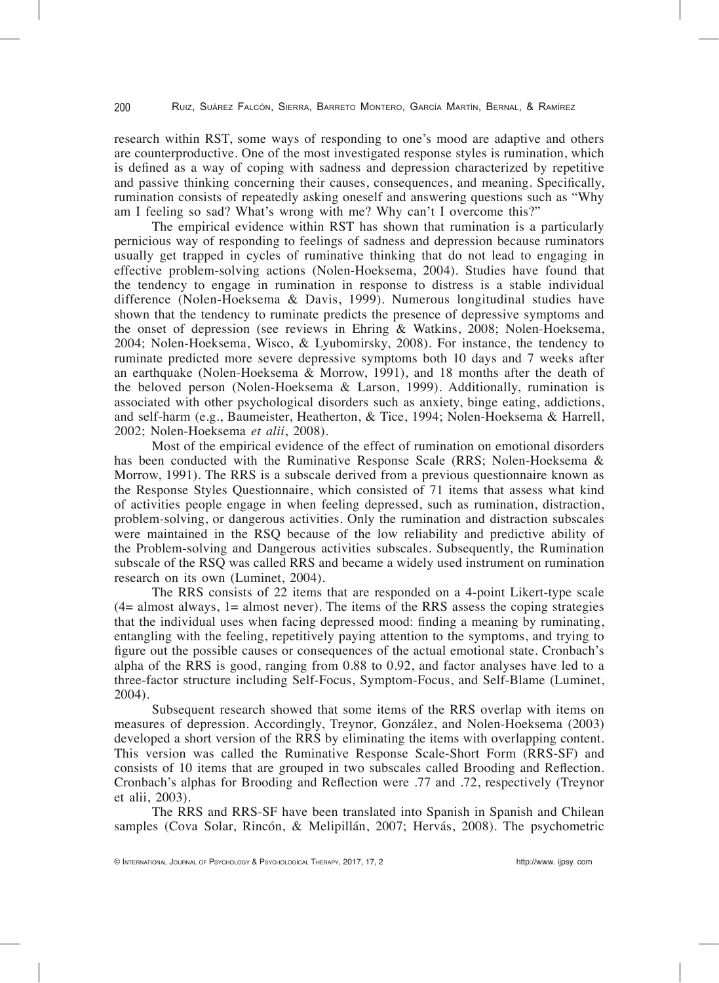research within RST, some ways of responding to one's mood are adaptive and others are counterproductive. One of the most investigated response styles is rumination, which is defined as a way of coping with sadness and depression characterized by repetitive and passive thinking concerning their causes, consequences, and meaning. Specifically, rumination consists of repeatedly asking oneself and answering questions such as "Why am I feeling so sad? What's wrong with me? Why can't I overcome this?"

The empirical evidence within RST has shown that rumination is a particularly pernicious way of responding to feelings of sadness and depression because ruminators usually get trapped in cycles of ruminative thinking that do not lead to engaging in effective problem-solving actions (Nolen-Hoeksema, 2004). Studies have found that the tendency to engage in rumination in response to distress is a stable individual difference (Nolen-Hoeksema & Davis, 1999). Numerous longitudinal studies have shown that the tendency to ruminate predicts the presence of depressive symptoms and the onset of depression (see reviews in Ehring & Watkins, 2008; Nolen-Hoeksema, 2004; Nolen-Hoeksema, Wisco, & Lyubomirsky, 2008). For instance, the tendency to ruminate predicted more severe depressive symptoms both 10 days and 7 weeks after an earthquake (Nolen-Hoeksema & Morrow, 1991), and 18 months after the death of the beloved person (Nolen-Hoeksema & Larson, 1999). Additionally, rumination is associated with other psychological disorders such as anxiety, binge eating, addictions, and self-harm (e.g., Baumeister, Heatherton, & Tice, 1994; Nolen-Hoeksema & Harrell, 2002; Nolen-Hoeksema *et alii*, 2008).

Most of the empirical evidence of the effect of rumination on emotional disorders has been conducted with the Ruminative Response Scale (RRS; Nolen-Hoeksema & Morrow, 1991). The RRS is a subscale derived from a previous questionnaire known as the Response Styles Questionnaire, which consisted of 71 items that assess what kind of activities people engage in when feeling depressed, such as rumination, distraction, problem-solving, or dangerous activities. Only the rumination and distraction subscales were maintained in the RSQ because of the low reliability and predictive ability of the Problem-solving and Dangerous activities subscales. Subsequently, the Rumination subscale of the RSQ was called RRS and became a widely used instrument on rumination research on its own (Luminet, 2004).

The RRS consists of 22 items that are responded on a 4-point Likert-type scale  $(4=$  almost always,  $1=$  almost never). The items of the RRS assess the coping strategies that the individual uses when facing depressed mood: finding a meaning by ruminating, entangling with the feeling, repetitively paying attention to the symptoms, and trying to figure out the possible causes or consequences of the actual emotional state. Cronbach's alpha of the RRS is good, ranging from 0.88 to 0.92, and factor analyses have led to a three-factor structure including Self-Focus, Symptom-Focus, and Self-Blame (Luminet, 2004).

Subsequent research showed that some items of the RRS overlap with items on measures of depression. Accordingly, Treynor, González, and Nolen-Hoeksema (2003) developed a short version of the RRS by eliminating the items with overlapping content. This version was called the Ruminative Response Scale-Short Form (RRS-SF) and consists of 10 items that are grouped in two subscales called Brooding and Reflection. Cronbach's alphas for Brooding and ReÁection were .77 and .72, respectively (Treynor et alii, 2003).

The RRS and RRS-SF have been translated into Spanish in Spanish and Chilean samples (Cova Solar, Rincón, & Melipillán, 2007; Hervás, 2008). The psychometric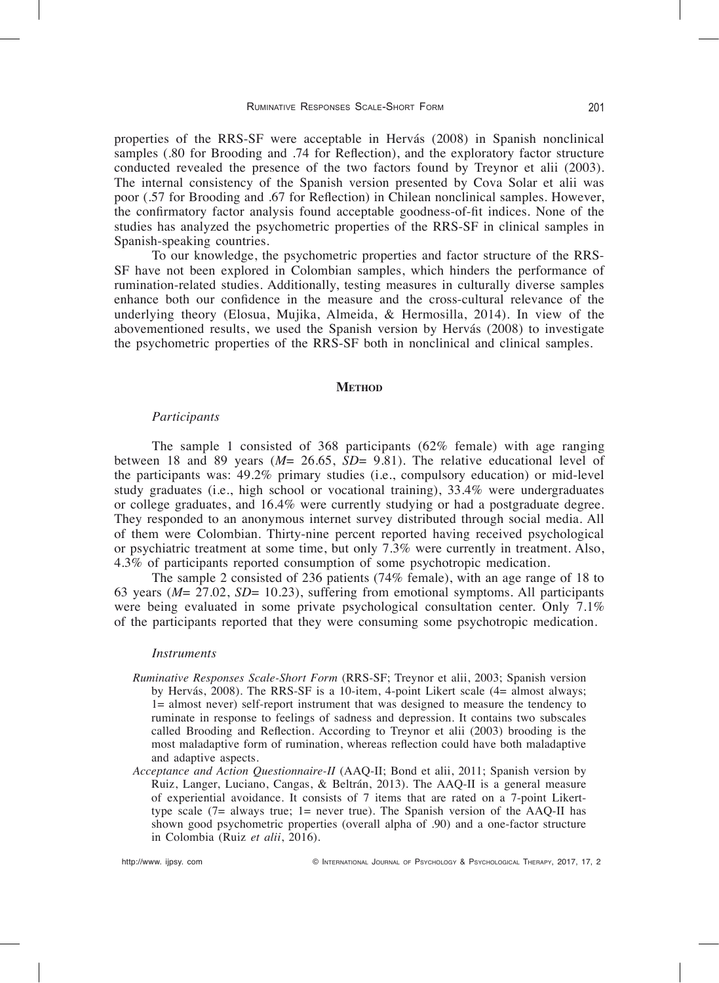properties of the RRS-SF were acceptable in Hervás (2008) in Spanish nonclinical samples  $(.80)$  for Brooding and .74 for Reflection), and the exploratory factor structure conducted revealed the presence of the two factors found by Treynor et alii (2003). The internal consistency of the Spanish version presented by Cova Solar et alii was poor (.57 for Brooding and .67 for Reflection) in Chilean nonclinical samples. However, the confirmatory factor analysis found acceptable goodness-of-fit indices. None of the studies has analyzed the psychometric properties of the RRS-SF in clinical samples in Spanish-speaking countries.

To our knowledge, the psychometric properties and factor structure of the RRS-SF have not been explored in Colombian samples, which hinders the performance of rumination-related studies. Additionally, testing measures in culturally diverse samples enhance both our confidence in the measure and the cross-cultural relevance of the underlying theory (Elosua, Mujika, Almeida, & Hermosilla, 2014). In view of the abovementioned results, we used the Spanish version by Hervás (2008) to investigate the psychometric properties of the RRS-SF both in nonclinical and clinical samples.

#### **METHOD**

# *Participants*

The sample 1 consisted of 368 participants (62% female) with age ranging between 18 and 89 years  $(M = 26.65, SD = 9.81)$ . The relative educational level of the participants was: 49.2% primary studies (i.e., compulsory education) or mid-level study graduates (i.e., high school or vocational training), 33.4% were undergraduates or college graduates, and 16.4% were currently studying or had a postgraduate degree. They responded to an anonymous internet survey distributed through social media. All of them were Colombian. Thirty-nine percent reported having received psychological or psychiatric treatment at some time, but only 7.3% were currently in treatment. Also, 4.3% of participants reported consumption of some psychotropic medication.

The sample 2 consisted of 236 patients (74% female), with an age range of 18 to 63 years (*M*= 27.02, *SD*= 10.23), suffering from emotional symptoms. All participants were being evaluated in some private psychological consultation center. Only 7.1% of the participants reported that they were consuming some psychotropic medication.

# *Instruments*

- *Ruminative Responses Scale-Short Form* (RRS-SF; Treynor et alii, 2003; Spanish version by Hervás, 2008). The RRS-SF is a 10-item, 4-point Likert scale (4= almost always; 1= almost never) self-report instrument that was designed to measure the tendency to ruminate in response to feelings of sadness and depression. It contains two subscales called Brooding and Reflection. According to Treynor et alii (2003) brooding is the most maladaptive form of rumination, whereas reflection could have both maladaptive and adaptive aspects.
- *Acceptance and Action Questionnaire-II* (AAQ-II; Bond et alii, 2011; Spanish version by Ruiz, Langer, Luciano, Cangas, & Beltrán, 2013). The AAQ-II is a general measure of experiential avoidance. It consists of 7 items that are rated on a 7-point Likerttype scale (7= always true; 1= never true). The Spanish version of the AAQ-II has shown good psychometric properties (overall alpha of .90) and a one-factor structure in Colombia (Ruiz *et alii*, 2016).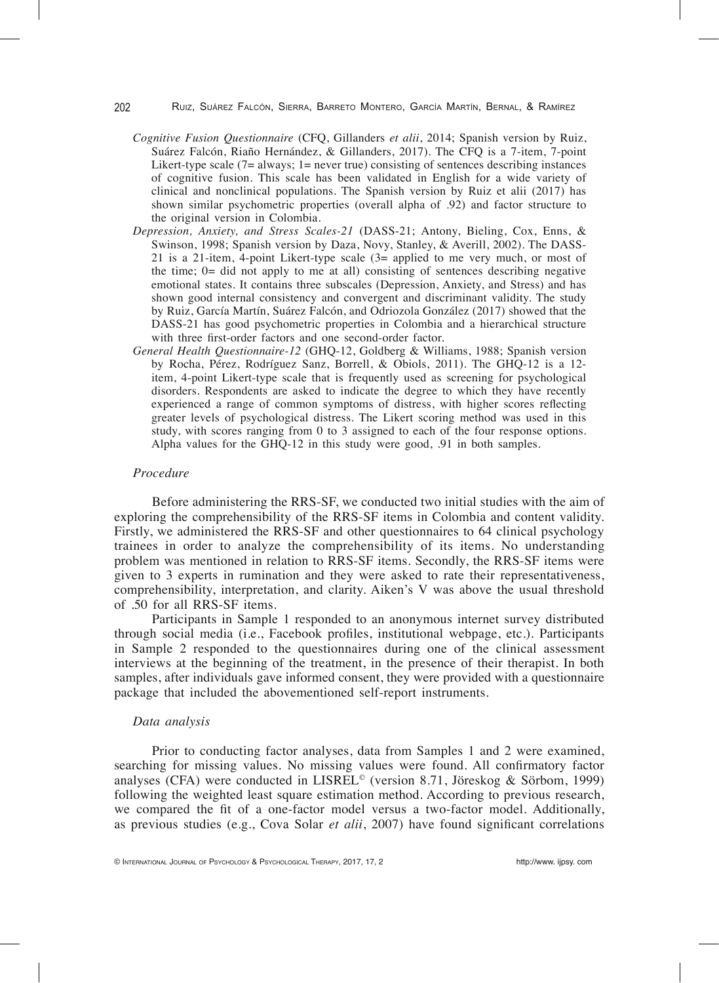- *Cognitive Fusion Questionnaire* (CFQ, Gillanders *et alii*, 2014; Spanish version by Ruiz, Suárez Falcón, Riaño Hernández, & Gillanders, 2017). The CFQ is a 7-item, 7-point Likert-type scale  $(7)$ = always; 1 = never true) consisting of sentences describing instances of cognitive fusion. This scale has been validated in English for a wide variety of clinical and nonclinical populations. The Spanish version by Ruiz et alii (2017) has shown similar psychometric properties (overall alpha of .92) and factor structure to the original version in Colombia.
- *Depression, Anxiety, and Stress Scales-21* (DASS-21; Antony, Bieling, Cox, Enns, & Swinson, 1998; Spanish version by Daza, Novy, Stanley, & Averill, 2002). The DASS-21 is a 21-item, 4-point Likert-type scale  $(3=$  applied to me very much, or most of the time; 0= did not apply to me at all) consisting of sentences describing negative emotional states. It contains three subscales (Depression, Anxiety, and Stress) and has shown good internal consistency and convergent and discriminant validity. The study by Ruiz, García Martín, Suárez Falcón, and Odriozola González (2017) showed that the DASS-21 has good psychometric properties in Colombia and a hierarchical structure with three first-order factors and one second-order factor.
- *General Health Questionnaire-12* (GHQ-12, Goldberg & Williams, 1988; Spanish version by Rocha, Pérez, Rodríguez Sanz, Borrell, & Obiols, 2011). The GHQ-12 is a 12 item, 4-point Likert-type scale that is frequently used as screening for psychological disorders. Respondents are asked to indicate the degree to which they have recently experienced a range of common symptoms of distress, with higher scores reflecting greater levels of psychological distress. The Likert scoring method was used in this study, with scores ranging from 0 to 3 assigned to each of the four response options. Alpha values for the GHQ-12 in this study were good, .91 in both samples.

# *Procedure*

Before administering the RRS-SF, we conducted two initial studies with the aim of exploring the comprehensibility of the RRS-SF items in Colombia and content validity. Firstly, we administered the RRS-SF and other questionnaires to 64 clinical psychology trainees in order to analyze the comprehensibility of its items. No understanding problem was mentioned in relation to RRS-SF items. Secondly, the RRS-SF items were given to 3 experts in rumination and they were asked to rate their representativeness, comprehensibility, interpretation, and clarity. Aiken's V was above the usual threshold of .50 for all RRS-SF items.

Participants in Sample 1 responded to an anonymous internet survey distributed through social media (i.e., Facebook profiles, institutional webpage, etc.). Participants in Sample 2 responded to the questionnaires during one of the clinical assessment interviews at the beginning of the treatment, in the presence of their therapist. In both samples, after individuals gave informed consent, they were provided with a questionnaire package that included the abovementioned self-report instruments.

# *Data analysis*

Prior to conducting factor analyses, data from Samples 1 and 2 were examined, searching for missing values. No missing values were found. All confirmatory factor analyses (CFA) were conducted in LISREL© (version 8.71, Jöreskog & Sörbom, 1999) following the weighted least square estimation method. According to previous research, we compared the fit of a one-factor model versus a two-factor model. Additionally, as previous studies (e.g., Cova Solar *et alii*, 2007) have found significant correlations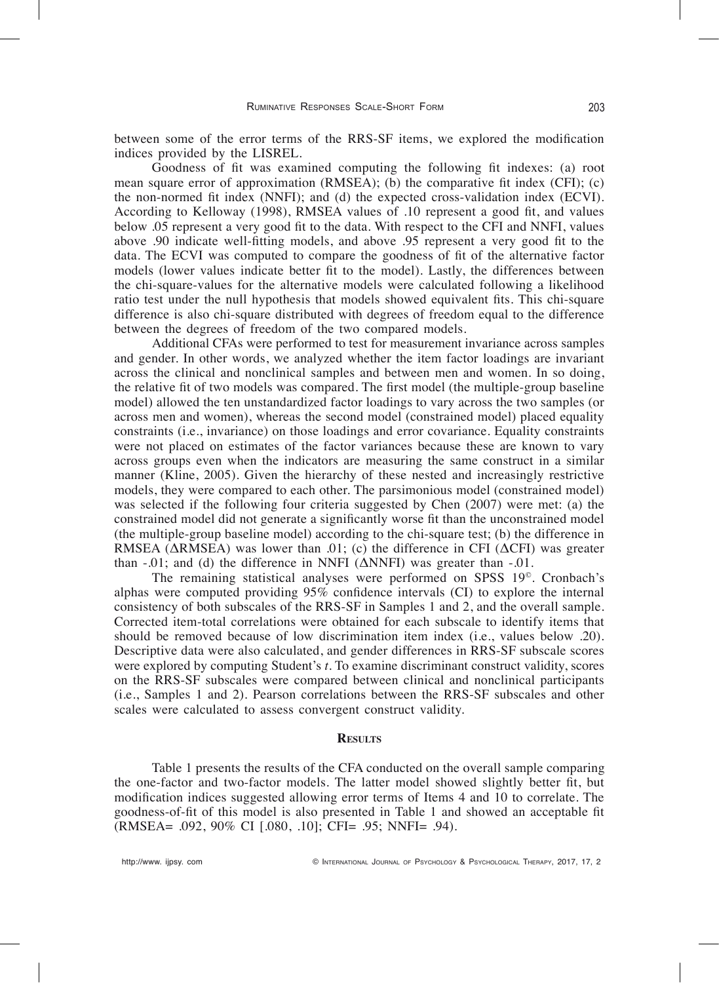between some of the error terms of the RRS-SF items, we explored the modification indices provided by the LISREL.

Goodness of fit was examined computing the following fit indexes: (a) root mean square error of approximation  $(RMSEA)$ ; (b) the comparative fit index  $(CFI)$ ; (c) the non-normed fit index (NNFI); and (d) the expected cross-validation index (ECVI). According to Kelloway  $(1998)$ , RMSEA values of .10 represent a good fit, and values below .05 represent a very good fit to the data. With respect to the CFI and NNFI, values above .90 indicate well-fitting models, and above .95 represent a very good fit to the data. The ECVI was computed to compare the goodness of fit of the alternative factor models (lower values indicate better fit to the model). Lastly, the differences between the chi-square-values for the alternative models were calculated following a likelihood ratio test under the null hypothesis that models showed equivalent fits. This chi-square difference is also chi-square distributed with degrees of freedom equal to the difference between the degrees of freedom of the two compared models.

Additional CFAs were performed to test for measurement invariance across samples and gender. In other words, we analyzed whether the item factor loadings are invariant across the clinical and nonclinical samples and between men and women. In so doing, the relative fit of two models was compared. The first model (the multiple-group baseline model) allowed the ten unstandardized factor loadings to vary across the two samples (or across men and women), whereas the second model (constrained model) placed equality constraints (i.e., invariance) on those loadings and error covariance. Equality constraints were not placed on estimates of the factor variances because these are known to vary across groups even when the indicators are measuring the same construct in a similar manner (Kline, 2005). Given the hierarchy of these nested and increasingly restrictive models, they were compared to each other. The parsimonious model (constrained model) was selected if the following four criteria suggested by Chen (2007) were met: (a) the constrained model did not generate a significantly worse fit than the unconstrained model (the multiple-group baseline model) according to the chi-square test; (b) the difference in RMSEA ( $\triangle$ RMSEA) was lower than .01; (c) the difference in CFI ( $\triangle$ CFI) was greater than  $-0.01$ ; and (d) the difference in NNFI ( $\triangle$ NNFI) was greater than  $-0.01$ .

The remaining statistical analyses were performed on SPSS 19©. Cronbach's alphas were computed providing  $95\%$  confidence intervals (CI) to explore the internal consistency of both subscales of the RRS-SF in Samples 1 and 2, and the overall sample. Corrected item-total correlations were obtained for each subscale to identify items that should be removed because of low discrimination item index (i.e., values below .20). Descriptive data were also calculated, and gender differences in RRS-SF subscale scores were explored by computing Student's *t*. To examine discriminant construct validity, scores on the RRS-SF subscales were compared between clinical and nonclinical participants (i.e., Samples 1 and 2). Pearson correlations between the RRS-SF subscales and other scales were calculated to assess convergent construct validity.

# **RESULTS**

Table 1 presents the results of the CFA conducted on the overall sample comparing the one-factor and two-factor models. The latter model showed slightly better fit, but modification indices suggested allowing error terms of Items 4 and 10 to correlate. The goodness-of-fit of this model is also presented in Table 1 and showed an acceptable fit (RMSEA= .092, 90% CI [.080, .10]; CFI= .95; NNFI= .94).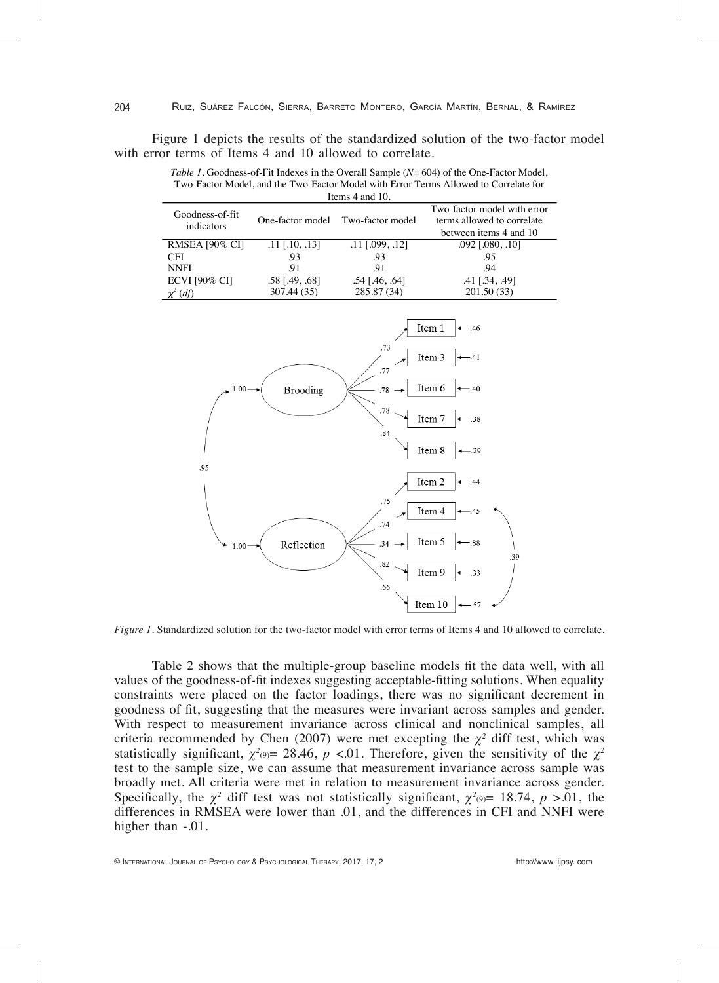204

Figure 1 depicts the results of the standardized solution of the two-factor model with error terms of Items 4 and 10 allowed to correlate.

*Table 1.* Goodness-of-Fit Indexes in the Overall Sample (*N*= 604) of the One-Factor Model, Two-Factor Model, and the Two-Factor Model with Error Terms Allowed to Correlate for Items 4 and 10.

| $101113 + 011010$             |                  |                                   |                                                                                     |  |  |  |
|-------------------------------|------------------|-----------------------------------|-------------------------------------------------------------------------------------|--|--|--|
| Goodness-of-fit<br>indicators |                  | One-factor model Two-factor model | Two-factor model with error<br>terms allowed to correlate<br>between items 4 and 10 |  |  |  |
| <b>RMSEA [90% CI]</b>         | $.11$ [.10, .13] | $.11$ [.099, .12]                 | $.092$ [.080, .10]                                                                  |  |  |  |
| CFI                           | .93              | .93                               | .95                                                                                 |  |  |  |
| <b>NNFI</b>                   | .91              | -91                               | .94                                                                                 |  |  |  |
| <b>ECVI [90% CI]</b>          | $.58$ [.49, .68] | $.54$ [.46, .64]                  | $.41$ [ $.34$ , $.49$ ]                                                             |  |  |  |
| $\chi^2$ (df)                 | 307.44 (35)      | 285.87 (34)                       | 201.50(33)                                                                          |  |  |  |



*Figure 1*. Standardized solution for the two-factor model with error terms of Items 4 and 10 allowed to correlate.

Table 2 shows that the multiple-group baseline models fit the data well, with all values of the goodness-of-fit indexes suggesting acceptable-fitting solutions. When equality constraints were placed on the factor loadings, there was no significant decrement in goodness of fit, suggesting that the measures were invariant across samples and gender. With respect to measurement invariance across clinical and nonclinical samples, all criteria recommended by Chen (2007) were met excepting the  $\chi^2$  diff test, which was statistically significant,  $\chi^2$ <sub>(9)</sub> = 28.46, *p* <.01. Therefore, given the sensitivity of the  $\chi^2$ test to the sample size, we can assume that measurement invariance across sample was broadly met. All criteria were met in relation to measurement invariance across gender. Specifically, the  $\chi^2$  diff test was not statistically significant,  $\chi^2(9)= 18.74$ ,  $p > .01$ , the differences in RMSEA were lower than .01, and the differences in CFI and NNFI were higher than  $-.01$ .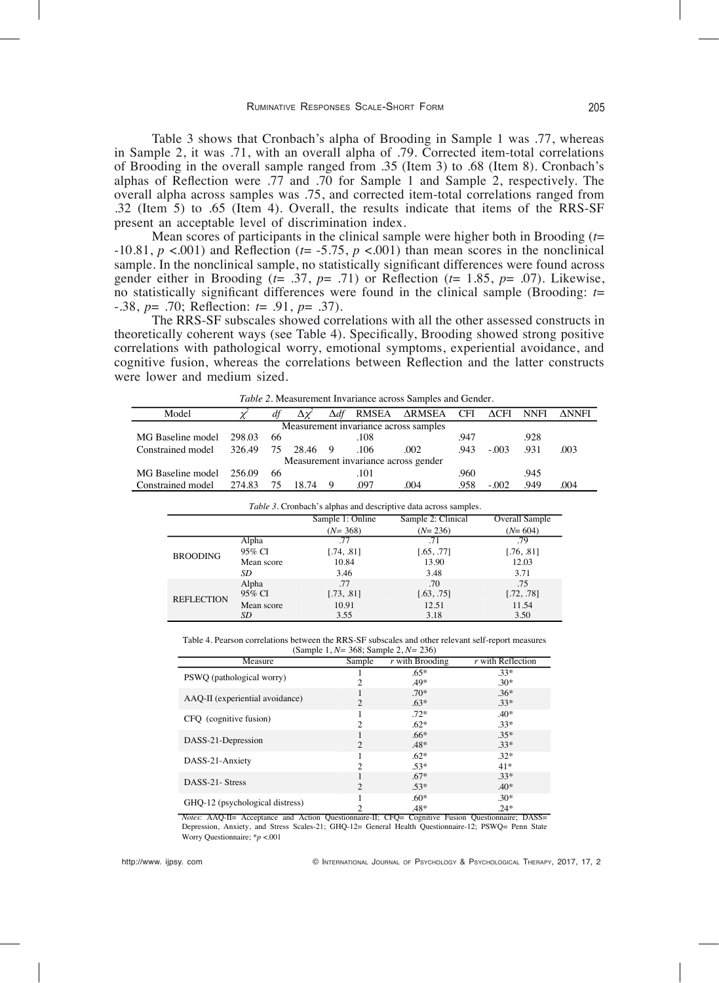Table 3 shows that Cronbach's alpha of Brooding in Sample 1 was .77, whereas in Sample 2, it was .71, with an overall alpha of .79. Corrected item-total correlations of Brooding in the overall sample ranged from .35 (Item 3) to .68 (Item 8). Cronbach's alphas of ReÁection were .77 and .70 for Sample 1 and Sample 2, respectively. The overall alpha across samples was .75, and corrected item-total correlations ranged from .32 (Item 5) to .65 (Item 4). Overall, the results indicate that items of the RRS-SF present an acceptable level of discrimination index.

Mean scores of participants in the clinical sample were higher both in Brooding (*t*=  $-10.81, p < .001$  and Reflection ( $t = -5.75, p < .001$ ) than mean scores in the nonclinical sample. In the nonclinical sample, no statistically significant differences were found across gender either in Brooding ( $t= .37, p= .71$ ) or Reflection ( $t= 1.85, p= .07$ ). Likewise, no statistically significant differences were found in the clinical sample (Brooding:  $t=$ -.38, *p*= .70; ReÁection: *t*= .91, *p*= .37).

The RRS-SF subscales showed correlations with all the other assessed constructs in theoretically coherent ways (see Table 4). Specifically, Brooding showed strong positive correlations with pathological worry, emotional symptoms, experiential avoidance, and cognitive fusion, whereas the correlations between Reflection and the latter constructs were lower and medium sized.

| Model                                 |        |     |         |  |      | Δdf RMSEA ΔRMSEA CFI ΔCFI NNFI |      |         |      | <b>ΔNNFI</b> |
|---------------------------------------|--------|-----|---------|--|------|--------------------------------|------|---------|------|--------------|
| Measurement invariance across samples |        |     |         |  |      |                                |      |         |      |              |
| MG Baseline model                     | 298.03 | -66 |         |  | .108 |                                | .947 |         | .928 |              |
| Constrained model                     | 326.49 | 75  | 28.46 9 |  | .106 | .002                           | .943 | $-.003$ | .931 | .003         |
| Measurement invariance across gender  |        |     |         |  |      |                                |      |         |      |              |
| MG Baseline model                     | 256.09 | -66 |         |  | .101 |                                | .960 |         | .945 |              |
| Constrained model                     | 274.83 | -75 | 18.74   |  | .097 | .004                           | .958 | $-.002$ | .949 | .004         |

*Table 2*. Measurement Invariance across Samples and Gender.

| Table 3. Cronbach's alphas and descriptive data across samples. |                 |                   |                    |                   |  |
|-----------------------------------------------------------------|-----------------|-------------------|--------------------|-------------------|--|
|                                                                 |                 | Sample 1: Online  | Sample 2: Clinical | Overall Sample    |  |
|                                                                 |                 | $(N=368)$         | $(N=236)$          | $(N=604)$         |  |
| <b>BROODING</b>                                                 | Alpha           | 77                | 71                 | 79                |  |
|                                                                 | 95% CI          | [.74, .81]        | [.65, .77]         | [.76, .81]        |  |
|                                                                 | Mean score      | 10.84             | 13.90              | 12.03             |  |
|                                                                 | SD              | 3.46              | 3.48               | 3.71              |  |
| <b>REFLECTION</b>                                               | Alpha<br>95% CI | .77<br>[.73, .81] | .70<br>[.63, .75]  | .75<br>[.72, .78] |  |
|                                                                 | Mean score      | 10.91             | 12.51              | 11.54             |  |
|                                                                 | SD              | 3.55              | 3.18               | 3.50              |  |

Table 4. Pearson correlations between the RRS-SF subscales and other relevant self-report measures (Sample 1, *N=* 368; Sample 2, *N=* 236)

| Measure                                                                                                  | Sample         | $r$ with Brooding | $r$ with Reflection |
|----------------------------------------------------------------------------------------------------------|----------------|-------------------|---------------------|
| PSWO (pathological worry)                                                                                |                | $.65*$            | $.33*$              |
|                                                                                                          |                | .49*              | $.30*$              |
|                                                                                                          |                | $.70*$            | $.36*$              |
| AAQ-II (experiential avoidance)                                                                          | $\overline{c}$ | $.63*$            | $.33*$              |
| CFQ (cognitive fusion)                                                                                   |                | $.72*$            | $.40*$              |
|                                                                                                          | 2              | $.62*$            | $.33*$              |
|                                                                                                          |                | $.66*$            | $.35*$              |
| DASS-21-Depression                                                                                       | $\mathfrak{D}$ | $.48*$            | $.33*$              |
| DASS-21-Anxiety                                                                                          |                | $.62*$            | $.32*$              |
|                                                                                                          | 2              | $.53*$            | $41*$               |
|                                                                                                          |                | $.67*$            | $.33*$              |
| DASS-21- Stress                                                                                          | $\overline{2}$ | $.53*$            | $.40*$              |
| GHQ-12 (psychological distress)                                                                          |                | $.60*$            | $.30*$              |
|                                                                                                          |                | $.48*$            | $.24*$              |
| <i>Notes:</i> AAQ-II= Acceptance and Action Questionnaire-II; CFQ= Cognitive Fusion Questionnaire; DASS= |                |                   |                     |

Depression, Anxiety, and Stress Scales-21; GHQ-12= General Health Questionnaire-12; PSWQ= Penn State Worry Questionnaire; \**p* <.001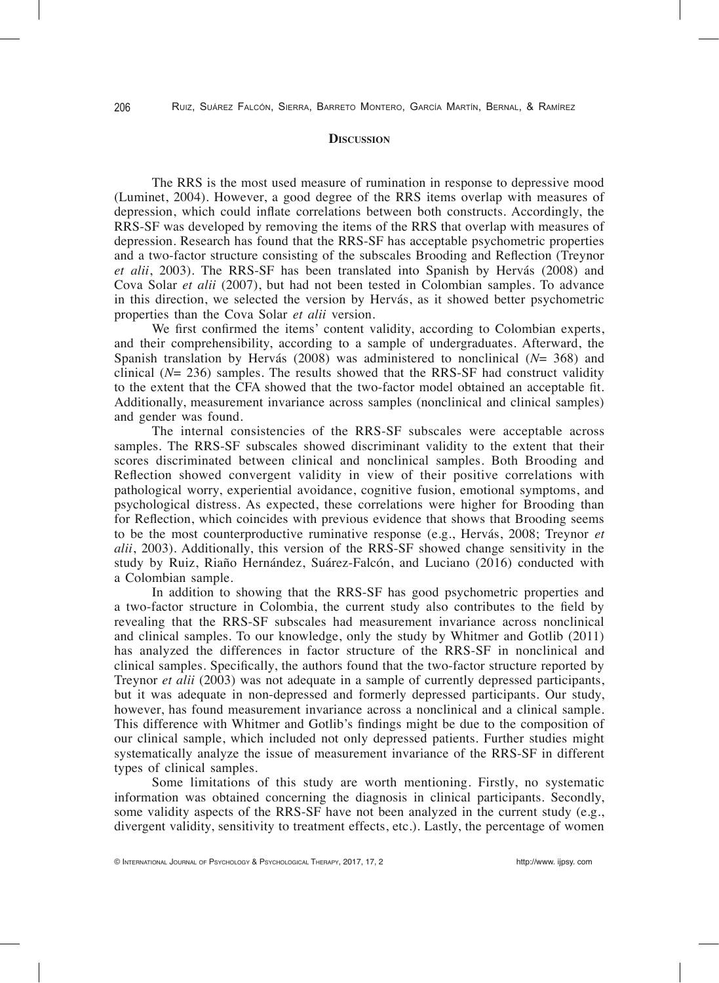## **DISCUSSION**

The RRS is the most used measure of rumination in response to depressive mood (Luminet, 2004). However, a good degree of the RRS items overlap with measures of depression, which could inflate correlations between both constructs. Accordingly, the RRS-SF was developed by removing the items of the RRS that overlap with measures of depression. Research has found that the RRS-SF has acceptable psychometric properties and a two-factor structure consisting of the subscales Brooding and Reflection (Treynor *et alii*, 2003). The RRS-SF has been translated into Spanish by Hervás (2008) and Cova Solar *et alii* (2007), but had not been tested in Colombian samples. To advance in this direction, we selected the version by Hervás, as it showed better psychometric properties than the Cova Solar *et alii* version.

We first confirmed the items' content validity, according to Colombian experts, and their comprehensibility, according to a sample of undergraduates. Afterward, the Spanish translation by Hervás (2008) was administered to nonclinical (*N*= 368) and clinical  $(N= 236)$  samples. The results showed that the RRS-SF had construct validity to the extent that the CFA showed that the two-factor model obtained an acceptable fit. Additionally, measurement invariance across samples (nonclinical and clinical samples) and gender was found.

The internal consistencies of the RRS-SF subscales were acceptable across samples. The RRS-SF subscales showed discriminant validity to the extent that their scores discriminated between clinical and nonclinical samples. Both Brooding and Reflection showed convergent validity in view of their positive correlations with pathological worry, experiential avoidance, cognitive fusion, emotional symptoms, and psychological distress. As expected, these correlations were higher for Brooding than for Reflection, which coincides with previous evidence that shows that Brooding seems to be the most counterproductive ruminative response (e.g., Hervás, 2008; Treynor *et alii*, 2003). Additionally, this version of the RRS-SF showed change sensitivity in the study by Ruiz, Riaño Hernández, Suárez-Falcón, and Luciano (2016) conducted with a Colombian sample.

In addition to showing that the RRS-SF has good psychometric properties and a two-factor structure in Colombia, the current study also contributes to the field by revealing that the RRS-SF subscales had measurement invariance across nonclinical and clinical samples. To our knowledge, only the study by Whitmer and Gotlib (2011) has analyzed the differences in factor structure of the RRS-SF in nonclinical and clinical samples. Specifically, the authors found that the two-factor structure reported by Treynor *et alii* (2003) was not adequate in a sample of currently depressed participants, but it was adequate in non-depressed and formerly depressed participants. Our study, however, has found measurement invariance across a nonclinical and a clinical sample. This difference with Whitmer and Gotlib's findings might be due to the composition of our clinical sample, which included not only depressed patients. Further studies might systematically analyze the issue of measurement invariance of the RRS-SF in different types of clinical samples.

Some limitations of this study are worth mentioning. Firstly, no systematic information was obtained concerning the diagnosis in clinical participants. Secondly, some validity aspects of the RRS-SF have not been analyzed in the current study (e.g., divergent validity, sensitivity to treatment effects, etc.). Lastly, the percentage of women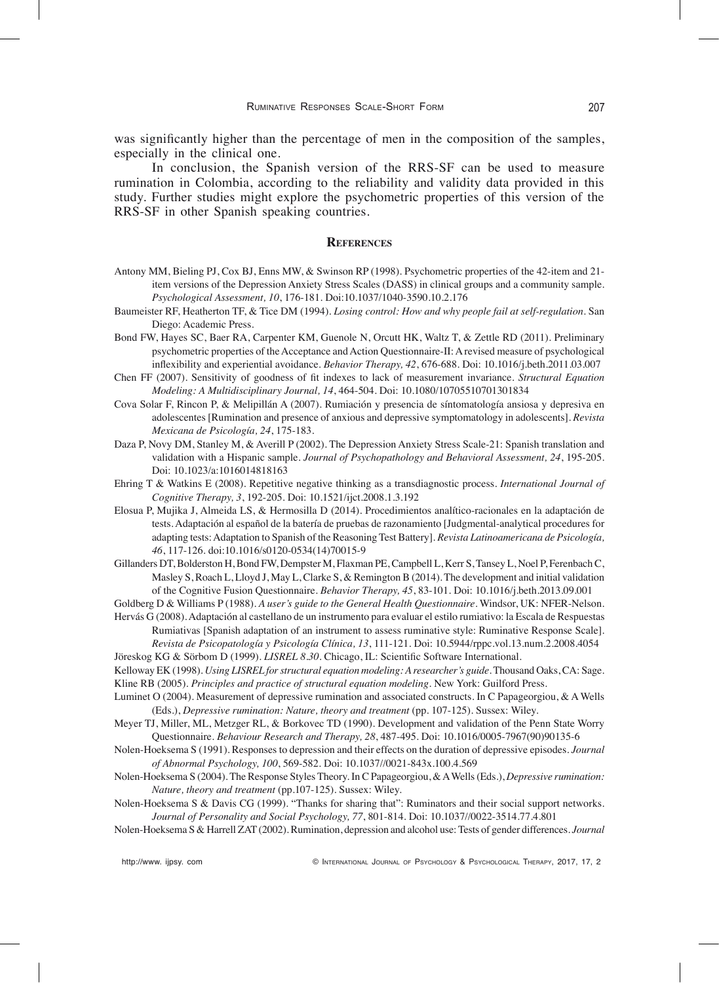was significantly higher than the percentage of men in the composition of the samples, especially in the clinical one.

In conclusion, the Spanish version of the RRS-SF can be used to measure rumination in Colombia, according to the reliability and validity data provided in this study. Further studies might explore the psychometric properties of this version of the RRS-SF in other Spanish speaking countries.

# **references**

- Antony MM, Bieling PJ, Cox BJ, Enns MW, & Swinson RP (1998). Psychometric properties of the 42-item and 21 item versions of the Depression Anxiety Stress Scales (DASS) in clinical groups and a community sample. *Psychological Assessment, 10*, 176-181. Doi:10.1037/1040-3590.10.2.176
- Baumeister RF, Heatherton TF, & Tice DM (1994). *Losing control: How and why people fail at self-regulation.* San Diego: Academic Press.
- Bond FW, Hayes SC, Baer RA, Carpenter KM, Guenole N, Orcutt HK, Waltz T, & Zettle RD (2011). Preliminary psychometric properties of the Acceptance and Action Questionnaire-II: A revised measure of psychological inÁexibility and experiential avoidance. *Behavior Therapy, 42*, 676-688. Doi: 10.1016/j.beth.2011.03.007
- Chen FF (2007). Sensitivity of goodness of fit indexes to lack of measurement invariance. *Structural Equation Modeling: A Multidisciplinary Journal, 14*, 464-504. Doi: 10.1080/10705510701301834
- Cova Solar F, Rincon P, & Melipillán A (2007). Rumiación y presencia de síntomatología ansiosa y depresiva en adolescentes [Rumination and presence of anxious and depressive symptomatology in adolescents]. *Revista Mexicana de Psicología, 24*, 175-183.
- Daza P, Novy DM, Stanley M, & Averill P (2002). The Depression Anxiety Stress Scale-21: Spanish translation and validation with a Hispanic sample. *Journal of Psychopathology and Behavioral Assessment, 24*, 195-205. Doi: 10.1023/a:1016014818163
- Ehring T & Watkins E (2008). Repetitive negative thinking as a transdiagnostic process. *International Journal of Cognitive Therapy, 3*, 192-205. Doi: 10.1521/ijct.2008.1.3.192
- Elosua P, Mujika J, Almeida LS, & Hermosilla D (2014). Procedimientos analítico-racionales en la adaptación de tests. Adaptación al español de la batería de pruebas de razonamiento [Judgmental-analytical procedures for adapting tests: Adaptation to Spanish of the Reasoning Test Battery]. *Revista Latinoamericana de Psicología, 46*, 117-126. doi:10.1016/s0120-0534(14)70015-9
- Gillanders DT, Bolderston H, Bond FW, Dempster M, Flaxman PE, Campbell L, Kerr S, Tansey L, Noel P, Ferenbach C, Masley S, Roach L, Lloyd J, May L, Clarke S, & Remington B (2014). The development and initial validation of the Cognitive Fusion Questionnaire. *Behavior Therapy, 45*, 83-101. Doi: 10.1016/j.beth.2013.09.001
- Goldberg D & Williams P (1988). *A user's guide to the General Health Questionnaire*. Windsor, UK: NFER-Nelson.
- Hervás G (2008). Adaptación al castellano de un instrumento para evaluar el estilo rumiativo: la Escala de Respuestas Rumiativas [Spanish adaptation of an instrument to assess ruminative style: Ruminative Response Scale]. *Revista de Psicopatología y Psicología Clínica, 13*, 111-121. Doi: 10.5944/rppc.vol.13.num.2.2008.4054
- Jöreskog KG & Sörbom D (1999). *LISREL 8.30*. Chicago, IL: Scientific Software International.
- Kelloway EK (1998). *Using LISREL for structural equation modeling: A researcher's guide*. Thousand Oaks, CA: Sage. Kline RB (2005). *Principles and practice of structural equation modeling*. New York: Guilford Press.
- Luminet O (2004). Measurement of depressive rumination and associated constructs. In C Papageorgiou, & A Wells (Eds.), *Depressive rumination: Nature, theory and treatment* (pp. 107-125). Sussex: Wiley.
- Meyer TJ, Miller, ML, Metzger RL, & Borkovec TD (1990). Development and validation of the Penn State Worry Questionnaire. *Behaviour Research and Therapy, 28*, 487-495. Doi: 10.1016/0005-7967(90)90135-6
- Nolen-Hoeksema S (1991). Responses to depression and their effects on the duration of depressive episodes. *Journal of Abnormal Psychology, 100*, 569-582. Doi: 10.1037//0021-843x.100.4.569
- Nolen-Hoeksema S (2004). The Response Styles Theory. In C Papageorgiou, & A Wells (Eds.), *Depressive rumination: Nature, theory and treatment* (pp.107-125). Sussex: Wiley.
- Nolen-Hoeksema S & Davis CG (1999). "Thanks for sharing that": Ruminators and their social support networks*. Journal of Personality and Social Psychology, 77*, 801-814. Doi: 10.1037//0022-3514.77.4.801
- Nolen-Hoeksema S & Harrell ZAT (2002). Rumination, depression and alcohol use: Tests of gender differences. *Journal*